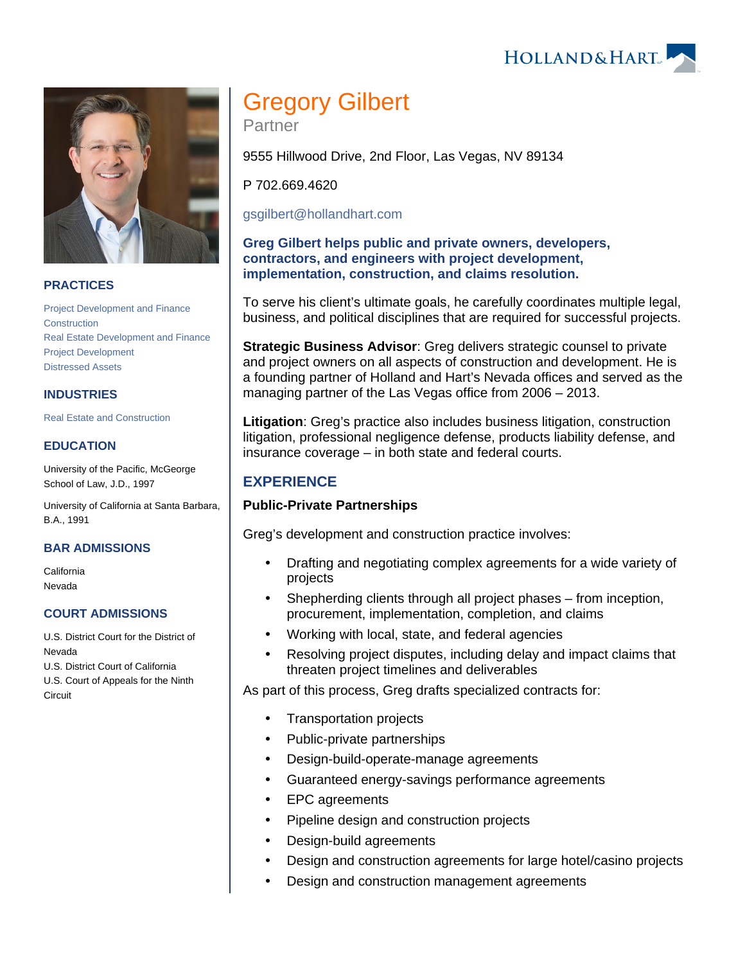HOLLAND& HART



## **PRACTICES**

[Project Development and Finance](https://www.hollandhart.com/19763) **[Construction](https://www.hollandhart.com/19751)** [Real Estate Development and Finance](https://www.hollandhart.com/19761) [Project Development](https://www.hollandhart.com/28502) [Distressed Assets](https://www.hollandhart.com/37278)

## **INDUSTRIES**

[Real Estate and Construction](https://www.hollandhart.com/29065)

### **EDUCATION**

University of the Pacific, McGeorge School of Law, J.D., 1997

University of California at Santa Barbara, B.A., 1991

#### **BAR ADMISSIONS**

California Nevada

#### **COURT ADMISSIONS**

U.S. District Court for the District of Nevada

U.S. District Court of California U.S. Court of Appeals for the Ninth

**Circuit** 

# Gregory Gilbert

Partner

9555 Hillwood Drive, 2nd Floor, Las Vegas, NV 89134

P 702.669.4620

[gsgilbert@hollandhart.com](mailto:gsgilbert@hollandhart.com)

**Greg Gilbert helps public and private owners, developers, contractors, and engineers with project development, implementation, construction, and claims resolution.**

To serve his client's ultimate goals, he carefully coordinates multiple legal, business, and political disciplines that are required for successful projects.

**Strategic Business Advisor**: Greg delivers strategic counsel to private and project owners on all aspects of construction and development. He is a founding partner of Holland and Hart's Nevada offices and served as the managing partner of the Las Vegas office from 2006 – 2013.

**Litigation**: Greg's practice also includes business litigation, construction litigation, professional negligence defense, products liability defense, and insurance coverage – in both state and federal courts.

# **EXPERIENCE**

## **Public-Private Partnerships**

Greg's development and construction practice involves:

- Drafting and negotiating complex agreements for a wide variety of projects
- Shepherding clients through all project phases from inception, procurement, implementation, completion, and claims
- Working with local, state, and federal agencies
- Resolving project disputes, including delay and impact claims that threaten project timelines and deliverables

As part of this process, Greg drafts specialized contracts for:

- Transportation projects
- Public-private partnerships
- Design-build-operate-manage agreements
- Guaranteed energy-savings performance agreements
- EPC agreements
- Pipeline design and construction projects
- Design-build agreements
- Design and construction agreements for large hotel/casino projects
- Design and construction management agreements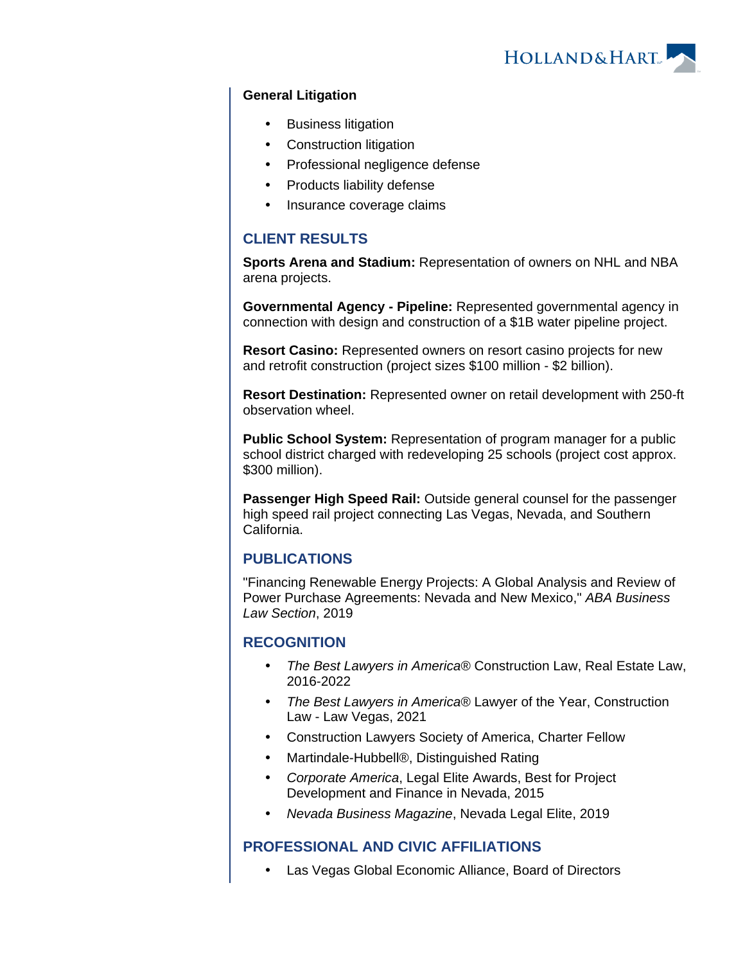

#### **General Litigation**

- Business litigation
- Construction litigation
- Professional negligence defense
- Products liability defense
- Insurance coverage claims

# **CLIENT RESULTS**

**Sports Arena and Stadium:** Representation of owners on NHL and NBA arena projects.

**Governmental Agency - Pipeline:** Represented governmental agency in connection with design and construction of a \$1B water pipeline project.

**Resort Casino:** Represented owners on resort casino projects for new and retrofit construction (project sizes \$100 million - \$2 billion).

**Resort Destination:** Represented owner on retail development with 250-ft observation wheel.

**Public School System:** Representation of program manager for a public school district charged with redeveloping 25 schools (project cost approx. \$300 million).

**Passenger High Speed Rail:** Outside general counsel for the passenger high speed rail project connecting Las Vegas, Nevada, and Southern California.

# **PUBLICATIONS**

"Financing Renewable Energy Projects: A Global Analysis and Review of Power Purchase Agreements: Nevada and New Mexico," ABA Business Law Section, 2019

# **RECOGNITION**

- The Best Lawyers in America® Construction Law, Real Estate Law, 2016-2022
- The Best Lawyers in America® Lawyer of the Year, Construction Law - Law Vegas, 2021
- Construction Lawyers Society of America, Charter Fellow
- Martindale-Hubbell®, Distinguished Rating
- Corporate America, Legal Elite Awards, Best for Project Development and Finance in Nevada, 2015
- Nevada Business Magazine, Nevada Legal Elite, 2019

# **PROFESSIONAL AND CIVIC AFFILIATIONS**

Las Vegas Global Economic Alliance, Board of Directors